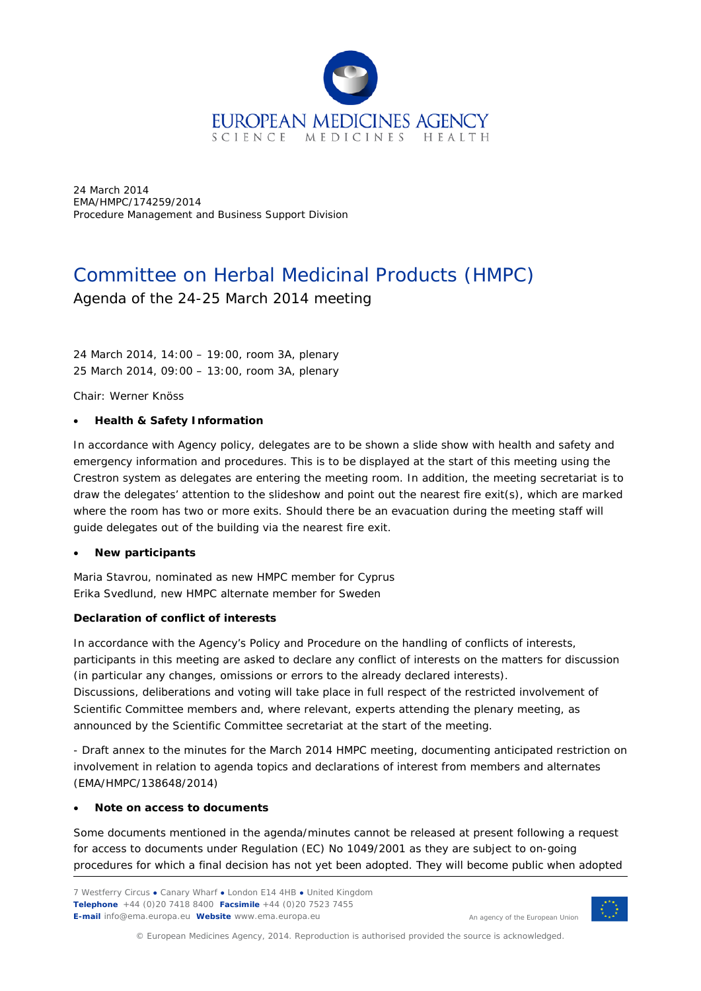

24 March 2014 EMA/HMPC/174259/2014 Procedure Management and Business Support Division

# Committee on Herbal Medicinal Products (HMPC)

Agenda of the 24-25 March 2014 meeting

24 March 2014, 14:00 – 19:00, room 3A, *plenary* 25 March 2014, 09:00 – 13:00, room 3A, *plenary*

Chair: Werner Knöss

#### • **Health & Safety Information**

In accordance with Agency policy, delegates are to be shown a slide show with health and safety and emergency information and procedures. This is to be displayed at the start of this meeting using the Crestron system as delegates are entering the meeting room. In addition, the meeting secretariat is to draw the delegates' attention to the slideshow and point out the nearest fire exit(s), which are marked where the room has two or more exits. Should there be an evacuation during the meeting staff will guide delegates out of the building via the nearest fire exit.

#### • **New participants**

Maria Stavrou, nominated as new HMPC member for Cyprus Erika Svedlund, new HMPC alternate member for Sweden

#### **Declaration of conflict of interests**

In accordance with the Agency's Policy and Procedure on the handling of conflicts of interests, participants in this meeting are asked to declare any conflict of interests on the matters for discussion (in particular any changes, omissions or errors to the already declared interests). Discussions, deliberations and voting will take place in full respect of the restricted involvement of Scientific Committee members and, where relevant, experts attending the plenary meeting, as announced by the Scientific Committee secretariat at the start of the meeting.

- Draft annex to the minutes for the March 2014 HMPC meeting, documenting anticipated restriction on involvement in relation to agenda topics and declarations of interest from members and alternates (EMA/HMPC/138648/2014)

#### • **Note on access to documents**

Some documents mentioned in the agenda/minutes cannot be released at present following a request for access to documents under Regulation (EC) No 1049/2001 as they are subject to on-going procedures for which a final decision has not yet been adopted. They will become public when adopted



© European Medicines Agency, 2014. Reproduction is authorised provided the source is acknowledged.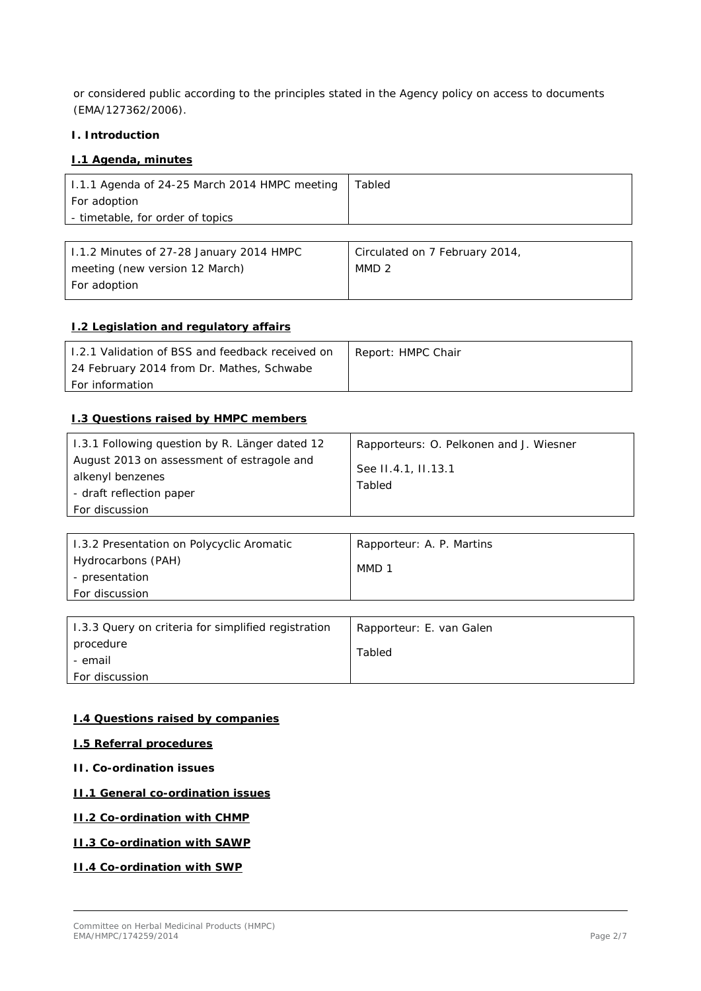or considered public according to the principles stated in the Agency policy on access to documents (EMA/127362/2006).

#### **I. Introduction**

#### **I.1 Agenda, minutes**

| 1.1.1 Agenda of 24-25 March 2014 HMPC meeting | Tabled |
|-----------------------------------------------|--------|
| For adoption                                  |        |
| - timetable, for order of topics              |        |
|                                               |        |

| 1.1.2 Minutes of 27-28 January 2014 HMPC | Circulated on 7 February 2014, |
|------------------------------------------|--------------------------------|
| meeting (new version 12 March)           | MMD <sub>2</sub>               |
| For adoption                             |                                |

#### **I.2 Legislation and regulatory affairs**

| 1.2.1 Validation of BSS and feedback received on | Report: HMPC Chair |
|--------------------------------------------------|--------------------|
| 24 February 2014 from Dr. Mathes, Schwabe        |                    |
| <i>For information</i>                           |                    |

### **I.3 Questions raised by HMPC members**

| 1.3.1 Following question by R. Länger dated 12 | Rapporteurs: O. Pelkonen and J. Wiesner |
|------------------------------------------------|-----------------------------------------|
| August 2013 on assessment of estragole and     | See II.4.1, II.13.1                     |
| alkenyl benzenes                               | Tabled                                  |
| - draft reflection paper                       |                                         |
| For discussion                                 |                                         |

| 1.3.2 Presentation on Polycyclic Aromatic | Rapporteur: A. P. Martins |
|-------------------------------------------|---------------------------|
| Hydrocarbons (PAH)                        | MMD 1                     |
| - presentation                            |                           |
| <b>For discussion</b>                     |                           |

| 1.3.3 Query on criteria for simplified registration | Rapporteur: E. van Galen |
|-----------------------------------------------------|--------------------------|
| procedure                                           | Tabled                   |
| - email                                             |                          |
| <b>For discussion</b>                               |                          |

### **I.4 Questions raised by companies**

# **I.5 Referral procedures**

**II. Co-ordination issues**

#### **II.1 General co-ordination issues**

#### **II.2 Co-ordination with CHMP**

## **II.3 Co-ordination with SAWP**

**II.4 Co-ordination with SWP**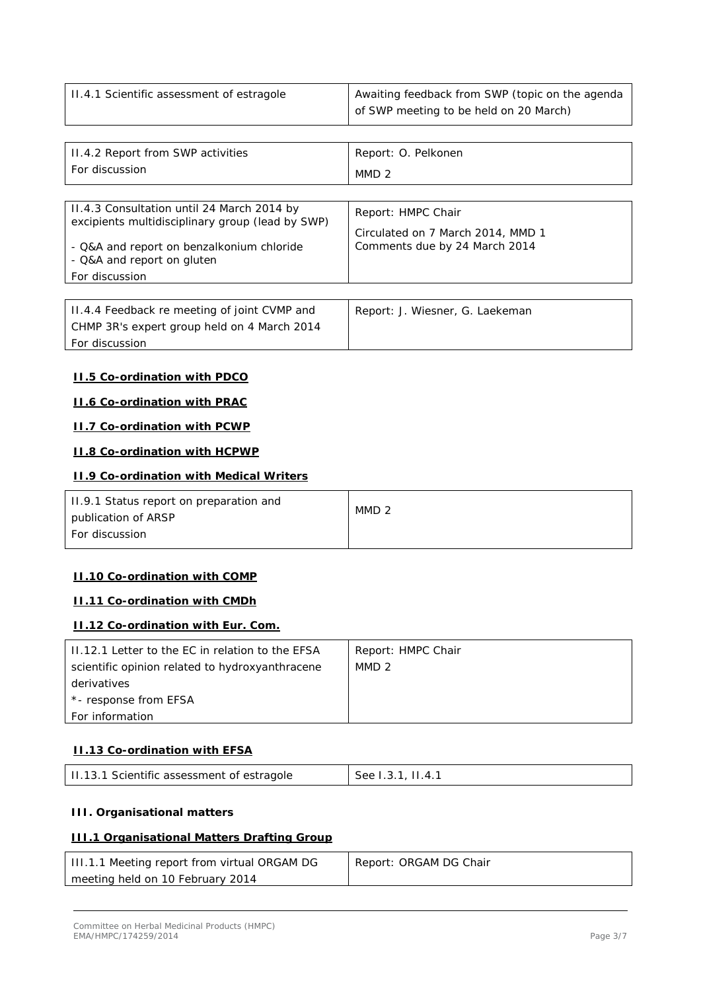| II.4.1 Scientific assessment of estragole | Awaiting feedback from SWP (topic on the agenda |
|-------------------------------------------|-------------------------------------------------|
|                                           | of SWP meeting to be held on 20 March)          |

| II.4.2 Report from SWP activities                                                              | Report: O. Pelkonen               |  |
|------------------------------------------------------------------------------------------------|-----------------------------------|--|
| For discussion                                                                                 | MMD <sub>2</sub>                  |  |
|                                                                                                |                                   |  |
| 11.4.3 Consultation until 24 March 2014 by<br>excipients multidisciplinary group (lead by SWP) | Report: HMPC Chair                |  |
|                                                                                                | Circulated on 7 March 2014, MMD 1 |  |
| - Q&A and report on benzalkonium chloride<br>- Q&A and report on gluten                        | Comments due by 24 March 2014     |  |
| For discussion                                                                                 |                                   |  |
|                                                                                                |                                   |  |
| 11.4.4 Feedback re meeting of joint CVMP and<br>CHMP 3R's expert group held on 4 March 2014    | Report: J. Wiesner, G. Laekeman   |  |

*For discussion*

#### **II.5 Co-ordination with PDCO**

#### **II.6 Co-ordination with PRAC**

#### **II.7 Co-ordination with PCWP**

# **II.8 Co-ordination with HCPWP**

#### **II.9 Co-ordination with Medical Writers**

| 11.9.1 Status report on preparation and<br>publication of ARSP | MMD <sub>2</sub> |
|----------------------------------------------------------------|------------------|
| <b>For discussion</b>                                          |                  |

#### **II.10 Co-ordination with COMP**

## **II.11 Co-ordination with CMDh**

#### **II.12 Co-ordination with Eur. Com.**

| 11.12.1 Letter to the EC in relation to the EFSA | Report: HMPC Chair |
|--------------------------------------------------|--------------------|
| scientific opinion related to hydroxyanthracene  | MMD 2              |
| derivatives                                      |                    |
| *- response from EFSA                            |                    |
| For information                                  |                    |

#### **II.13 Co-ordination with EFSA**

| II.13.1 Scientific assessment of estragole | See 1.3.1, 11.4.1 |
|--------------------------------------------|-------------------|
|--------------------------------------------|-------------------|

#### **III. Organisational matters**

## **III.1 Organisational Matters Drafting Group**

| III.1.1 Meeting report from virtual ORGAM DG | Report: ORGAM DG Chair |
|----------------------------------------------|------------------------|
| meeting held on 10 February 2014             |                        |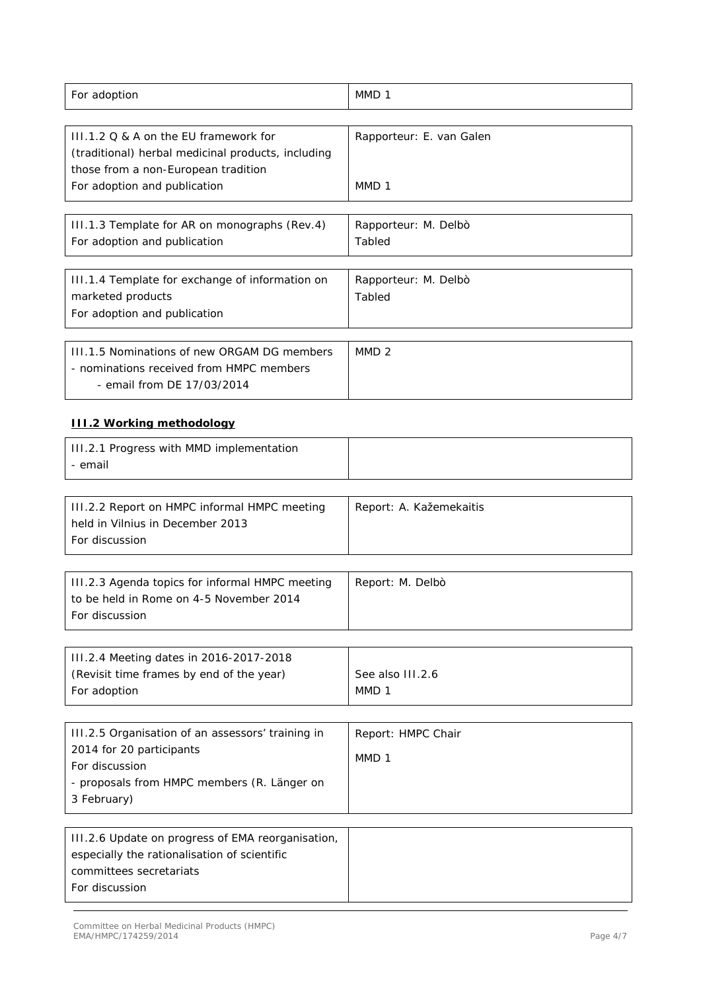| For adoption                                                                                                                                   | MMD <sub>1</sub>                       |
|------------------------------------------------------------------------------------------------------------------------------------------------|----------------------------------------|
| III.1.2 Q & A on the EU framework for<br>(traditional) herbal medicinal products, including<br>those from a non-European tradition             | Rapporteur: E. van Galen               |
| For adoption and publication                                                                                                                   | MMD <sub>1</sub>                       |
| III.1.3 Template for AR on monographs (Rev.4)<br>For adoption and publication                                                                  | Rapporteur: M. Delbò<br>Tabled         |
| III.1.4 Template for exchange of information on<br>marketed products<br>For adoption and publication                                           | Rapporteur: M. Delbò<br>Tabled         |
| III.1.5 Nominations of new ORGAM DG members<br>- nominations received from HMPC members<br>- email from DE 17/03/2014                          | MMD <sub>2</sub>                       |
| <b>III.2 Working methodology</b>                                                                                                               |                                        |
| III.2.1 Progress with MMD implementation<br>- email                                                                                            |                                        |
| III.2.2 Report on HMPC informal HMPC meeting<br>held in Vilnius in December 2013<br>For discussion                                             | Report: A. Kažemekaitis                |
| III.2.3 Agenda topics for informal HMPC meeting<br>to be held in Rome on 4-5 November 2014<br>For discussion                                   | Report: M. Delbò                       |
| III.2.4 Meeting dates in 2016-2017-2018<br>(Revisit time frames by end of the year)<br>For adoption                                            | See also III.2.6<br>MMD <sub>1</sub>   |
| III.2.5 Organisation of an assessors' training in<br>2014 for 20 participants                                                                  | Report: HMPC Chair<br>MMD <sub>1</sub> |
| For discussion<br>- proposals from HMPC members (R. Länger on<br>3 February)                                                                   |                                        |
| III.2.6 Update on progress of EMA reorganisation,<br>especially the rationalisation of scientific<br>committees secretariats<br>For discussion |                                        |
|                                                                                                                                                |                                        |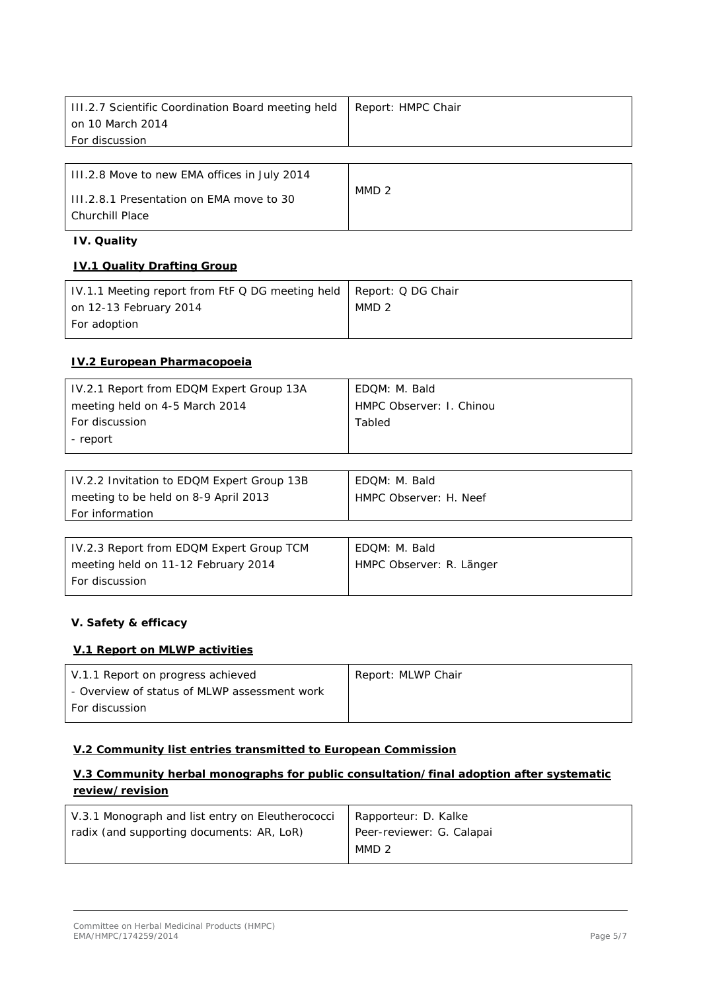| III.2.7 Scientific Coordination Board meeting held | Report: HMPC Chair |
|----------------------------------------------------|--------------------|
| on 10 March 2014                                   |                    |
| <b>For discussion</b>                              |                    |
|                                                    |                    |
| III.2.8 Move to new EMA offices in July 2014       |                    |
| III.2.8.1 Presentation on EMA move to 30           | MMD <sub>2</sub>   |
| <b>Churchill Place</b>                             |                    |

## **IV. Quality**

#### **IV.1 Quality Drafting Group**

| IV.1.1 Meeting report from FtF Q DG meeting held   Report: Q DG Chair |                  |
|-----------------------------------------------------------------------|------------------|
| on 12-13 February 2014                                                | MMD <sub>2</sub> |
| For adoption                                                          |                  |

## **IV.2 European Pharmacopoeia**

| IV.2.1 Report from EDQM Expert Group 13A | EDOM: M. Bald            |
|------------------------------------------|--------------------------|
| meeting held on 4-5 March 2014           | HMPC Observer: I. Chinou |
| <b>For discussion</b>                    | Tabled                   |
| - report                                 |                          |

| IV.2.2 Invitation to EDQM Expert Group 13B | EDOM: M. Bald          |
|--------------------------------------------|------------------------|
| meeting to be held on 8-9 April 2013       | HMPC Observer: H. Neef |
| <b>For information</b>                     |                        |

| IV.2.3 Report from EDQM Expert Group TCM | EDQM: M. Bald            |
|------------------------------------------|--------------------------|
| meeting held on 11-12 February 2014      | HMPC Observer: R. Länger |
| <b>For discussion</b>                    |                          |

# **V. Safety & efficacy**

## **V.1 Report on MLWP activities**

| V.1.1 Report on progress achieved            | Report: MLWP Chair |
|----------------------------------------------|--------------------|
| - Overview of status of MLWP assessment work |                    |
| For discussion                               |                    |

#### **V.2 Community list entries transmitted to European Commission**

# **V.3 Community herbal monographs for public consultation/final adoption after systematic review/revision**

| V.3.1 Monograph and list entry on Eleutherococci | Rapporteur: D. Kalke      |
|--------------------------------------------------|---------------------------|
| radix (and supporting documents: AR, LoR)        | Peer-reviewer: G. Calapai |
|                                                  | MMD <sub>2</sub>          |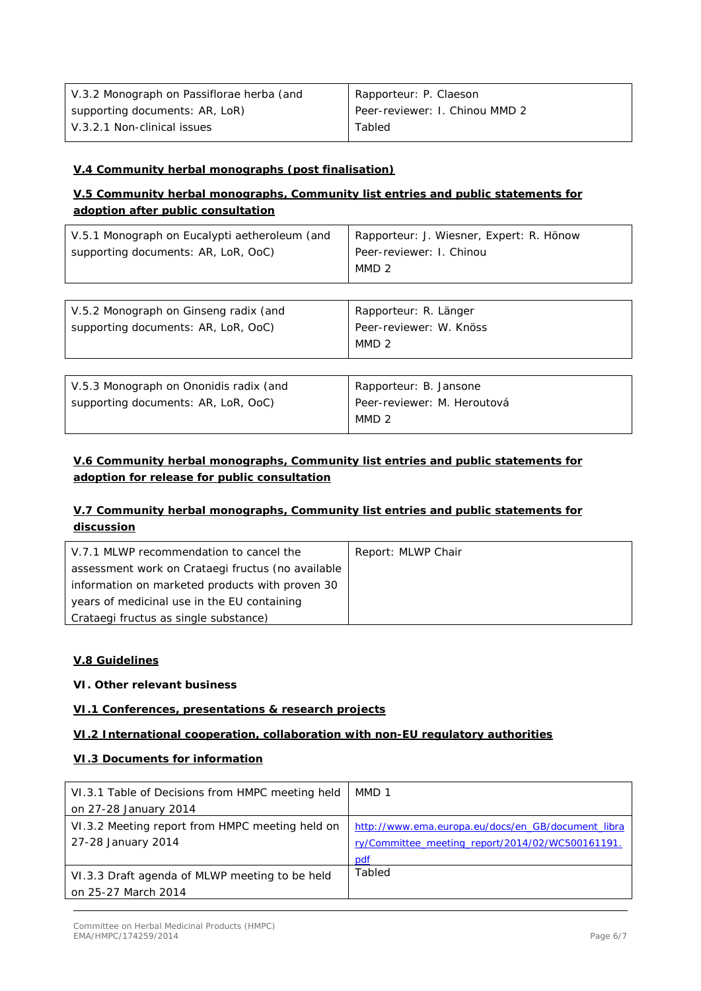| V.3.2 Monograph on Passiflorae herba (and | Rapporteur: P. Claeson         |
|-------------------------------------------|--------------------------------|
| supporting documents: AR, LoR)            | Peer-reviewer: I. Chinou MMD 2 |
| V.3.2.1 Non-clinical issues               | Tabled                         |

# **V.4 Community herbal monographs (post finalisation)**

# **V.5 Community herbal monographs, Community list entries and public statements for adoption after public consultation**

| V.5.1 Monograph on Eucalypti aetheroleum (and<br>supporting documents: AR, LoR, OoC) | Rapporteur: J. Wiesner, Expert: R. Hönow<br>Peer-reviewer: I. Chinou<br>MMD <sub>2</sub> |
|--------------------------------------------------------------------------------------|------------------------------------------------------------------------------------------|
|                                                                                      |                                                                                          |
| V.5.2 Monograph on Ginseng radix (and<br>supporting documents: AR, LoR, OoC)         | Rapporteur: R. Länger<br>Peer-reviewer: W. Knöss<br>MMD <sub>2</sub>                     |
|                                                                                      |                                                                                          |
| V.5.3 Monograph on Ononidis radix (and<br>supporting documents: AR, LoR, OoC)        | Rapporteur: B. Jansone<br>Peer-reviewer: M. Heroutová<br>MMD <sub>2</sub>                |

# **V.6 Community herbal monographs, Community list entries and public statements for adoption for release for public consultation**

# **V.7 Community herbal monographs, Community list entries and public statements for discussion**

| V.7.1 MLWP recommendation to cancel the           | Report: MLWP Chair |
|---------------------------------------------------|--------------------|
| assessment work on Crataegi fructus (no available |                    |
| information on marketed products with proven 30   |                    |
| years of medicinal use in the EU containing       |                    |
| Crataegi fructus as single substance)             |                    |

#### **V.8 Guidelines**

#### **VI. Other relevant business**

#### **VI.1 Conferences, presentations & research projects**

#### **VI.2 International cooperation, collaboration with non-EU regulatory authorities**

## **VI.3 Documents for information**

| VI.3.1 Table of Decisions from HMPC meeting held | MMD 1                                              |
|--------------------------------------------------|----------------------------------------------------|
| on 27-28 January 2014                            |                                                    |
| VI.3.2 Meeting report from HMPC meeting held on  | http://www.ema.europa.eu/docs/en_GB/document_libra |
| 27-28 January 2014                               | ry/Committee meeting report/2014/02/WC500161191.   |
|                                                  | pdf                                                |
| VI.3.3 Draft agenda of MLWP meeting to be held   | Tabled                                             |
| on 25-27 March 2014                              |                                                    |